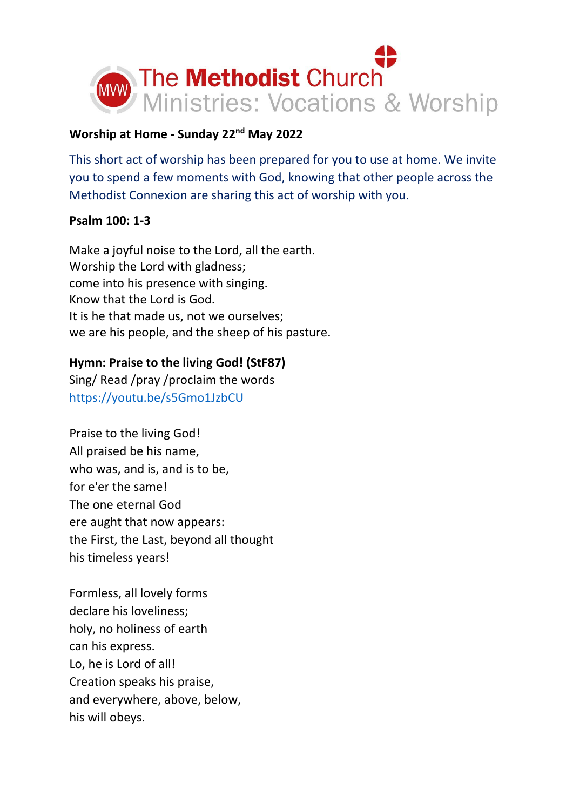

# **Worship at Home - Sunday 22nd May 2022**

This short act of worship has been prepared for you to use at home. We invite you to spend a few moments with God, knowing that other people across the Methodist Connexion are sharing this act of worship with you.

## **Psalm 100: 1-3**

Make a joyful noise to the Lord, all the earth. Worship the Lord with gladness; come into his presence with singing. Know that the Lord is God. It is he that made us, not we ourselves; we are his people, and the sheep of his pasture.

### **Hymn: Praise to the living God! (StF87)**

Sing/ Read /pray /proclaim the words <https://youtu.be/s5Gmo1JzbCU>

Praise to the living God! All praised be his name, who was, and is, and is to be, for e'er the same! The one eternal God ere aught that now appears: the First, the Last, beyond all thought his timeless years!

Formless, all lovely forms declare his loveliness; holy, no holiness of earth can his express. Lo, he is Lord of all! Creation speaks his praise, and everywhere, above, below, his will obeys.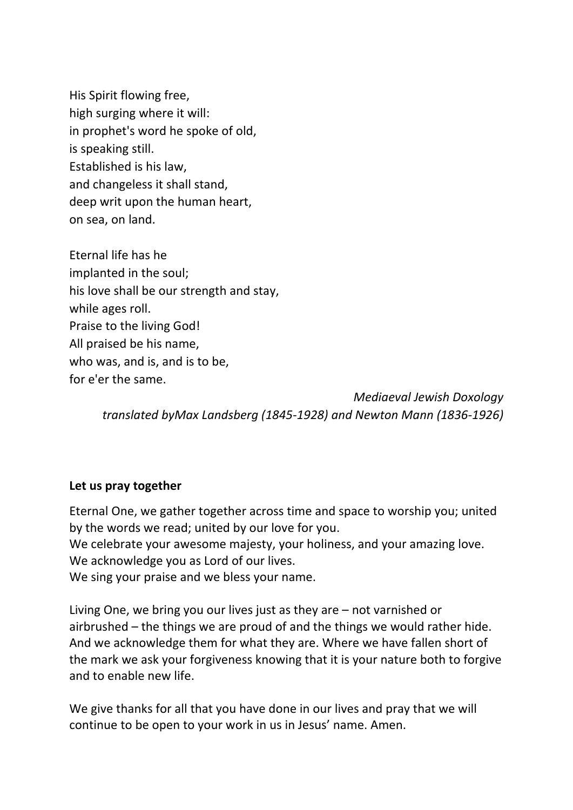His Spirit flowing free, high surging where it will: in prophet's word he spoke of old, is speaking still. Established is his law, and changeless it shall stand, deep writ upon the human heart, on sea, on land.

Eternal life has he implanted in the soul; his love shall be our strength and stay, while ages roll. Praise to the living God! All praised be his name, who was, and is, and is to be, for e'er the same.

> *Mediaeval Jewish Doxology translated byMax Landsberg (1845-1928) and Newton Mann (1836-1926)*

#### **Let us pray together**

Eternal One, we gather together across time and space to worship you; united by the words we read; united by our love for you.

We celebrate your awesome majesty, your holiness, and your amazing love. We acknowledge you as Lord of our lives.

We sing your praise and we bless your name.

Living One, we bring you our lives just as they are – not varnished or airbrushed – the things we are proud of and the things we would rather hide. And we acknowledge them for what they are. Where we have fallen short of the mark we ask your forgiveness knowing that it is your nature both to forgive and to enable new life.

We give thanks for all that you have done in our lives and pray that we will continue to be open to your work in us in Jesus' name. Amen.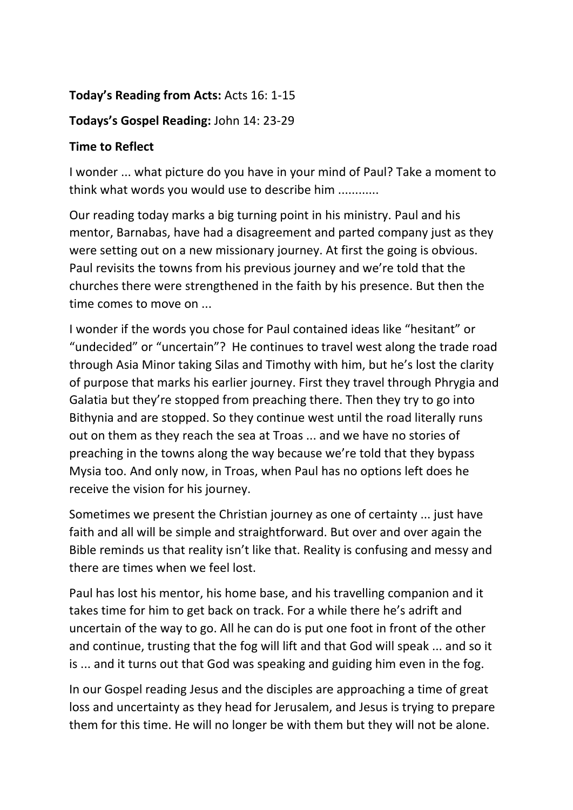## **Today's Reading from Acts:** Acts 16: 1-15

### **Todays's Gospel Reading:** John 14: 23-29

## **Time to Reflect**

I wonder ... what picture do you have in your mind of Paul? Take a moment to think what words you would use to describe him ............

Our reading today marks a big turning point in his ministry. Paul and his mentor, Barnabas, have had a disagreement and parted company just as they were setting out on a new missionary journey. At first the going is obvious. Paul revisits the towns from his previous journey and we're told that the churches there were strengthened in the faith by his presence. But then the time comes to move on ...

I wonder if the words you chose for Paul contained ideas like "hesitant" or "undecided" or "uncertain"? He continues to travel west along the trade road through Asia Minor taking Silas and Timothy with him, but he's lost the clarity of purpose that marks his earlier journey. First they travel through Phrygia and Galatia but they're stopped from preaching there. Then they try to go into Bithynia and are stopped. So they continue west until the road literally runs out on them as they reach the sea at Troas ... and we have no stories of preaching in the towns along the way because we're told that they bypass Mysia too. And only now, in Troas, when Paul has no options left does he receive the vision for his journey.

Sometimes we present the Christian journey as one of certainty ... just have faith and all will be simple and straightforward. But over and over again the Bible reminds us that reality isn't like that. Reality is confusing and messy and there are times when we feel lost.

Paul has lost his mentor, his home base, and his travelling companion and it takes time for him to get back on track. For a while there he's adrift and uncertain of the way to go. All he can do is put one foot in front of the other and continue, trusting that the fog will lift and that God will speak ... and so it is ... and it turns out that God was speaking and guiding him even in the fog.

In our Gospel reading Jesus and the disciples are approaching a time of great loss and uncertainty as they head for Jerusalem, and Jesus is trying to prepare them for this time. He will no longer be with them but they will not be alone.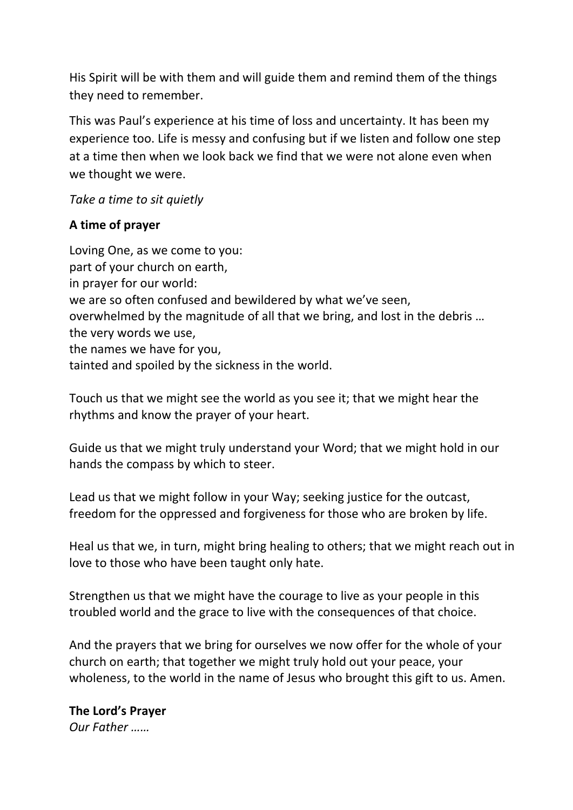His Spirit will be with them and will guide them and remind them of the things they need to remember.

This was Paul's experience at his time of loss and uncertainty. It has been my experience too. Life is messy and confusing but if we listen and follow one step at a time then when we look back we find that we were not alone even when we thought we were.

### *Take a time to sit quietly*

### **A time of prayer**

Loving One, as we come to you: part of your church on earth, in prayer for our world: we are so often confused and bewildered by what we've seen, overwhelmed by the magnitude of all that we bring, and lost in the debris … the very words we use, the names we have for you, tainted and spoiled by the sickness in the world.

Touch us that we might see the world as you see it; that we might hear the rhythms and know the prayer of your heart.

Guide us that we might truly understand your Word; that we might hold in our hands the compass by which to steer.

Lead us that we might follow in your Way; seeking justice for the outcast, freedom for the oppressed and forgiveness for those who are broken by life.

Heal us that we, in turn, might bring healing to others; that we might reach out in love to those who have been taught only hate.

Strengthen us that we might have the courage to live as your people in this troubled world and the grace to live with the consequences of that choice.

And the prayers that we bring for ourselves we now offer for the whole of your church on earth; that together we might truly hold out your peace, your wholeness, to the world in the name of Jesus who brought this gift to us. Amen.

**The Lord's Prayer** *Our Father ……*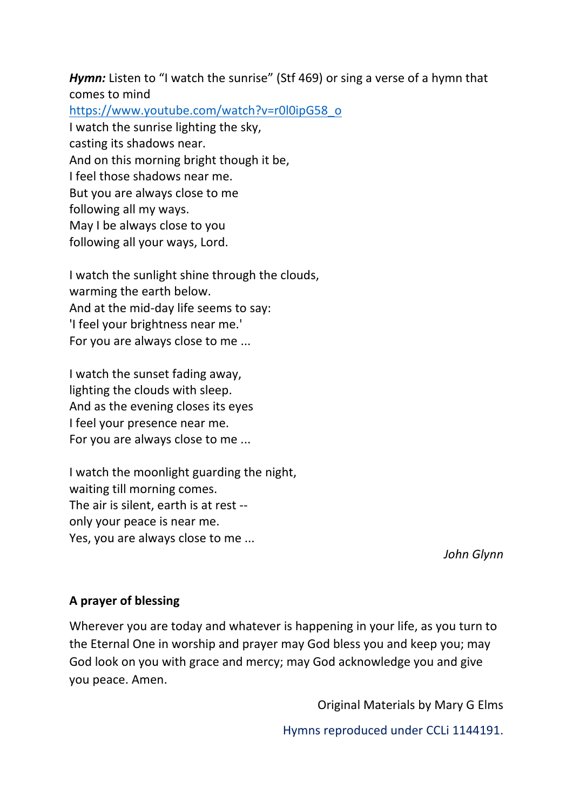*Hymn:* Listen to "I watch the sunrise" (Stf 469) or sing a verse of a hymn that comes to mind

[https://www.youtube.com/watch?v=r0l0ipG58\\_o](https://www.youtube.com/watch?v=r0l0ipG58_o) I watch the sunrise lighting the sky, casting its shadows near. And on this morning bright though it be, I feel those shadows near me. But you are always close to me following all my ways. May I be always close to you following all your ways, Lord.

I watch the sunlight shine through the clouds, warming the earth below. And at the mid-day life seems to say: 'I feel your brightness near me.' For you are always close to me ...

I watch the sunset fading away, lighting the clouds with sleep. And as the evening closes its eyes I feel your presence near me. For you are always close to me ...

I watch the moonlight guarding the night, waiting till morning comes. The air is silent, earth is at rest - only your peace is near me. Yes, you are always close to me ...

*John Glynn*

## **A prayer of blessing**

Wherever you are today and whatever is happening in your life, as you turn to the Eternal One in worship and prayer may God bless you and keep you; may God look on you with grace and mercy; may God acknowledge you and give you peace. Amen.

Original Materials by Mary G Elms

Hymns reproduced under CCLi 1144191.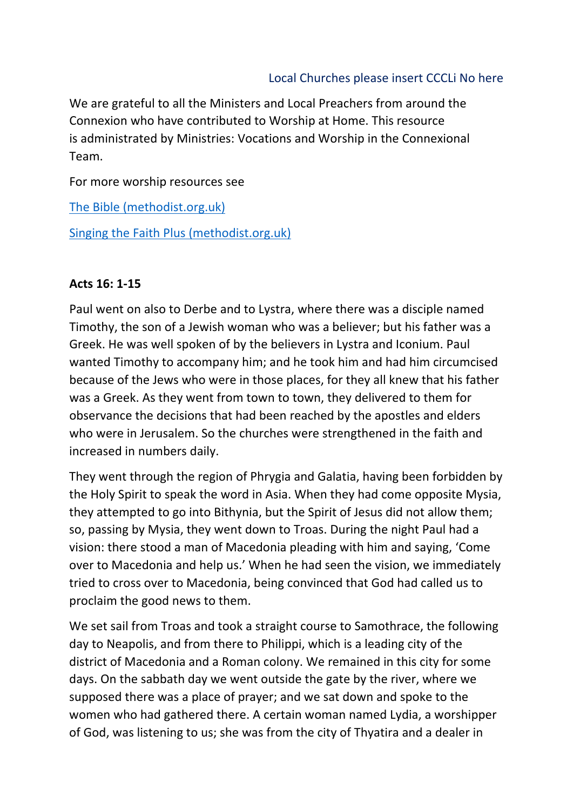## Local Churches please insert CCCLi No here

We are grateful to all the Ministers and Local Preachers from around the Connexion who have contributed to Worship at Home. This resource is administrated by Ministries: Vocations and Worship in the Connexional Team.

For more worship resources see

[The Bible \(methodist.org.uk\)](https://www.methodist.org.uk/our-faith/the-bible/)

[Singing the Faith Plus \(methodist.org.uk\)](https://www.methodist.org.uk/our-faith/worship/singing-the-faith-plus/)

#### **Acts 16: 1-15**

Paul went on also to Derbe and to Lystra, where there was a disciple named Timothy, the son of a Jewish woman who was a believer; but his father was a Greek. He was well spoken of by the believers in Lystra and Iconium. Paul wanted Timothy to accompany him; and he took him and had him circumcised because of the Jews who were in those places, for they all knew that his father was a Greek. As they went from town to town, they delivered to them for observance the decisions that had been reached by the apostles and elders who were in Jerusalem. So the churches were strengthened in the faith and increased in numbers daily.

They went through the region of Phrygia and Galatia, having been forbidden by the Holy Spirit to speak the word in Asia. When they had come opposite Mysia, they attempted to go into Bithynia, but the Spirit of Jesus did not allow them; so, passing by Mysia, they went down to Troas. During the night Paul had a vision: there stood a man of Macedonia pleading with him and saying, 'Come over to Macedonia and help us.' When he had seen the vision, we immediately tried to cross over to Macedonia, being convinced that God had called us to proclaim the good news to them.

We set sail from Troas and took a straight course to Samothrace, the following day to Neapolis, and from there to Philippi, which is a leading city of the district of Macedonia and a Roman colony. We remained in this city for some days. On the sabbath day we went outside the gate by the river, where we supposed there was a place of prayer; and we sat down and spoke to the women who had gathered there. A certain woman named Lydia, a worshipper of God, was listening to us; she was from the city of Thyatira and a dealer in